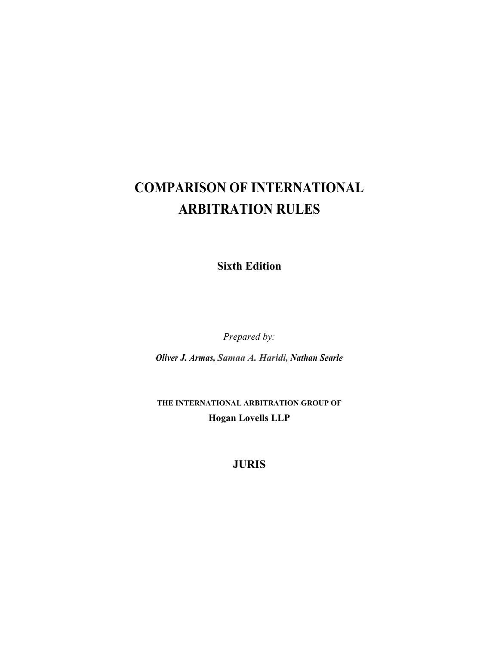## **COMPARISON OF INTERNATIONAL ARBITRATION RULES**

**Sixth Edition** 

*Prepared by:* 

*Oliver J. Armas, Samaa A. Haridi, Nathan Searle*

**THE INTERNATIONAL ARBITRATION GROUP OF Hogan Lovells LLP**

**JURIS**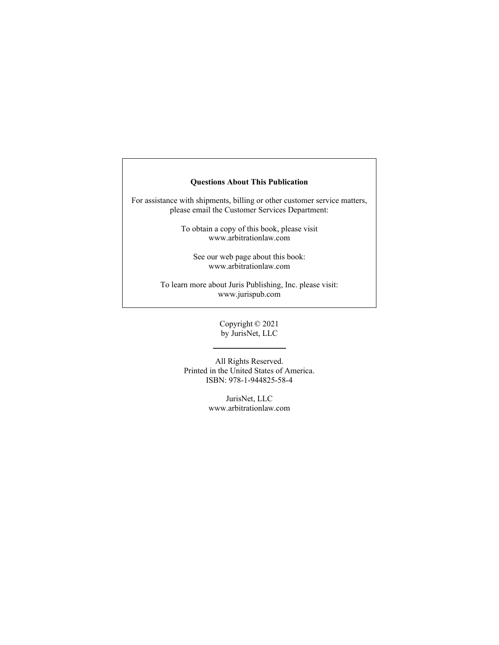## **Questions About This Publication**

For assistance with shipments, billing or other customer service matters, please email the Customer Services Department:

> To obtain a copy of this book, please visit www.arbitrationlaw.com

See our web page about this book: www.arbitrationlaw.com

To learn more about Juris Publishing, Inc. please visit: www.jurispub.com

> Copyright © 2021 by JurisNet, LLC

All Rights Reserved. Printed in the United States of America. ISBN: 978-1-944825-58-4

> JurisNet, LLC www.arbitrationlaw.com